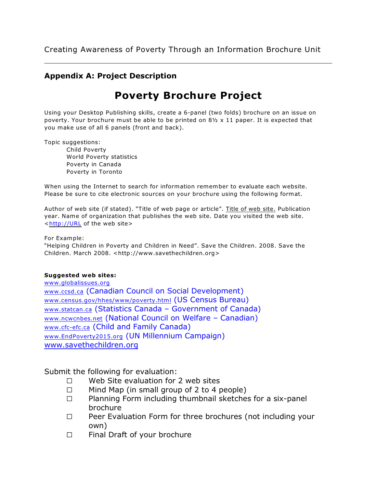#### **Appendix A: Project Description**

# **Poverty Brochure Project**

Using your Desktop Publishing skills, create a 6-panel (two folds) brochure on an issue on poverty. Your brochure must be able to be printed on  $8\frac{1}{2} \times 11$  paper. It is expected that you make use of all 6 panels (front and back).

Topic suggestions:

Child Poverty World Poverty statistics Poverty in Canada Poverty in Toronto

When using the Internet to search for information remember to evaluate each website. Please be sure to cite electronic sources on your brochure using the following format.

Author of web site (if stated). "Title of web page or article". Title of web site. Publication year. Name of organization that publishes the web site. Date you visited the web site. [<http://URL](http://<http://URL) of the web site>

For Example:

"Helping Children in Poverty and Children in Need". Save the Children. 2008. Save the Children. March 2008. <http://www.savethechildren.org>

#### **Suggested web sites:**

[www.globalissues.org](http://www.globalissues.org) [www.ccsd.ca](http://www.ccsd.ca) (Canadian Council on Social Development) [www.census.gov/hhes/www/poverty.html](http://www.census.gov/hhes/www/poverty.html) (US Census Bureau) [www.statcan.ca](http://www.statcan.ca) (Statistics Canada – Government of Canada) [www.ncwcnbes.net](http://www.ncwcnbes.net) (National Council on Welfare – Canadian) [www.cfc-efc.ca](http://www.cfc-efc.ca) (Child and Family Canada) [www.EndPoverty2015.org](http://www.EndPoverty2015.org) (UN Millennium Campaign) [www.savethechildren.org](http://www.savethechildren.org)

Submit the following for evaluation:

- $\square$  Web Site evaluation for 2 web sites
- $\Box$  Mind Map (in small group of 2 to 4 people)
- $\Box$  Planning Form including thumbnail sketches for a six-panel brochure
- $\Box$  Peer Evaluation Form for three brochures (not including your own)
- □ Final Draft of your brochure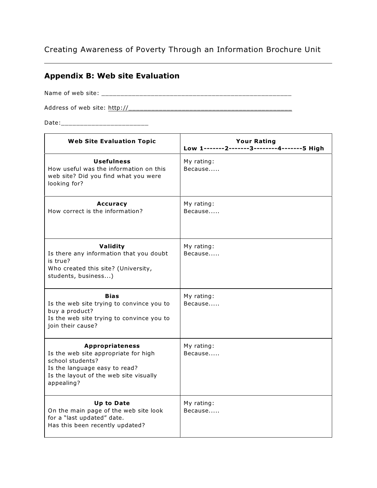#### **Appendix B: Web site Evaluation**

Name of web site: \_\_\_\_\_\_\_\_\_\_\_\_\_\_\_\_\_\_\_\_\_\_\_\_\_\_\_\_\_\_\_\_\_\_\_\_\_\_\_\_\_\_\_\_\_\_\_\_\_\_

Address of web site: [http://\\_\\_\\_\\_\\_\\_\\_\\_\\_\\_\\_\\_\\_\\_\\_\\_\\_\\_\\_\\_\\_\\_\\_\\_\\_\\_\\_\\_\\_\\_\\_\\_\\_\\_\\_\\_\\_\\_\\_\\_\\_\\_\\_](http://__________________)

Date:\_\_\_\_\_\_\_\_\_\_\_\_\_\_\_\_\_\_\_\_\_\_\_

| <b>Web Site Evaluation Topic</b>                                                                                                                                            | <b>Your Rating</b><br>Low 1-------2-------3--------4-------5 High |
|-----------------------------------------------------------------------------------------------------------------------------------------------------------------------------|-------------------------------------------------------------------|
| <b>Usefulness</b><br>How useful was the information on this<br>web site? Did you find what you were<br>looking for?                                                         | My rating:<br>Because                                             |
| <b>Accuracy</b><br>How correct is the information?                                                                                                                          | My rating:<br>Because                                             |
| Validity<br>Is there any information that you doubt<br>is true?<br>Who created this site? (University,<br>students, business)                                               | My rating:<br>Because                                             |
| <b>Bias</b><br>Is the web site trying to convince you to<br>buy a product?<br>Is the web site trying to convince you to<br>join their cause?                                | My rating:<br>Because                                             |
| <b>Appropriateness</b><br>Is the web site appropriate for high<br>school students?<br>Is the language easy to read?<br>Is the layout of the web site visually<br>appealing? | My rating:<br>Because                                             |
| <b>Up to Date</b><br>On the main page of the web site look<br>for a "last updated" date.<br>Has this been recently updated?                                                 | My rating:<br>Because                                             |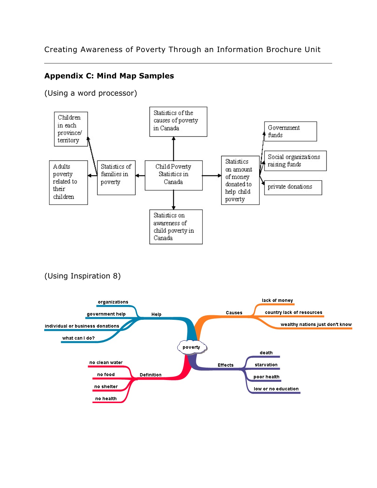#### **Appendix C: Mind Map Samples**

(Using a word processor)

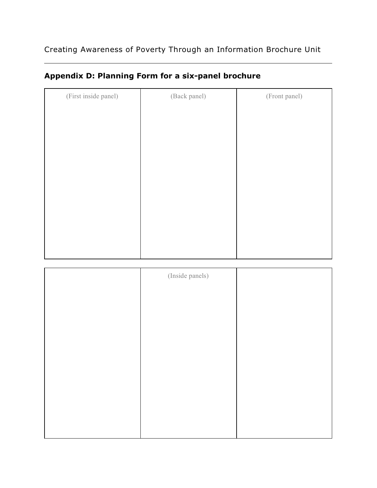| (First inside panel) | (Back panel) | (Front panel) |
|----------------------|--------------|---------------|
|                      |              |               |
|                      |              |               |
|                      |              |               |
|                      |              |               |
|                      |              |               |
|                      |              |               |
|                      |              |               |
|                      |              |               |
|                      |              |               |
|                      |              |               |
|                      |              |               |

## **Appendix D: Planning Form for a six-panel brochure**

| (Inside panels) |  |
|-----------------|--|
|                 |  |
|                 |  |
|                 |  |
|                 |  |
|                 |  |
|                 |  |
|                 |  |
|                 |  |
|                 |  |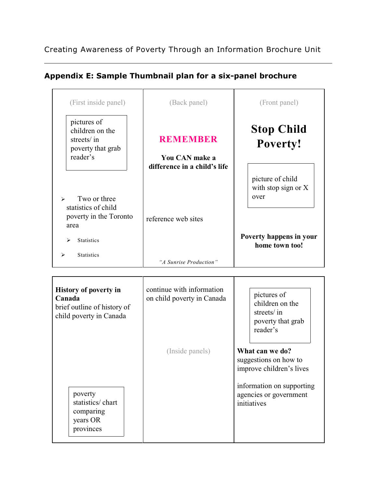### **Appendix E: Sample Thumbnail plan for a six-panel brochure**

| (First inside panel)                                                          | (Back panel)                                                      | (Front panel)                                     |
|-------------------------------------------------------------------------------|-------------------------------------------------------------------|---------------------------------------------------|
| pictures of<br>children on the<br>streets/in<br>poverty that grab<br>reader's | <b>REMEMBER</b><br>You CAN make a<br>difference in a child's life | <b>Stop Child</b><br>Poverty!                     |
| Two or three<br>$\blacktriangleright$<br>statistics of child                  |                                                                   | picture of child<br>with stop sign or $X$<br>over |
| poverty in the Toronto<br>area<br>⋗<br><b>Statistics</b>                      | reference web sites                                               | Poverty happens in your<br>home town too!         |
| <b>Statistics</b><br>↘                                                        | "A Sunrise Production"                                            |                                                   |

| <b>History of poverty in</b><br>Canada<br>brief outline of history of<br>child poverty in Canada | continue with information<br>on child poverty in Canada | pictures of<br>children on the<br>streets/ in<br>poverty that grab<br>reader's |
|--------------------------------------------------------------------------------------------------|---------------------------------------------------------|--------------------------------------------------------------------------------|
|                                                                                                  | (Inside panels)                                         | What can we do?<br>suggestions on how to<br>improve children's lives           |
| poverty<br>statistics/chart<br>comparing<br>years OR<br>provinces                                |                                                         | information on supporting<br>agencies or government<br>initiatives             |

 $\Gamma$ 

 $\top$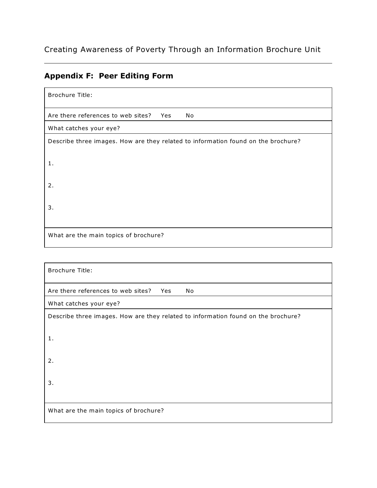# **Appendix F: Peer Editing Form**

| <b>Brochure Title:</b>                                                            |
|-----------------------------------------------------------------------------------|
| Are there references to web sites? Yes<br>No                                      |
| What catches your eye?                                                            |
| Describe three images. How are they related to information found on the brochure? |
| 1.                                                                                |
| 2.                                                                                |
| 3.                                                                                |
| What are the main topics of brochure?                                             |

| <b>Brochure Title:</b>                                                            |
|-----------------------------------------------------------------------------------|
| Are there references to web sites?<br>Yes<br>No                                   |
| What catches your eye?                                                            |
| Describe three images. How are they related to information found on the brochure? |
| 1.                                                                                |
| 2.                                                                                |
| 3.                                                                                |
| What are the main topics of brochure?                                             |